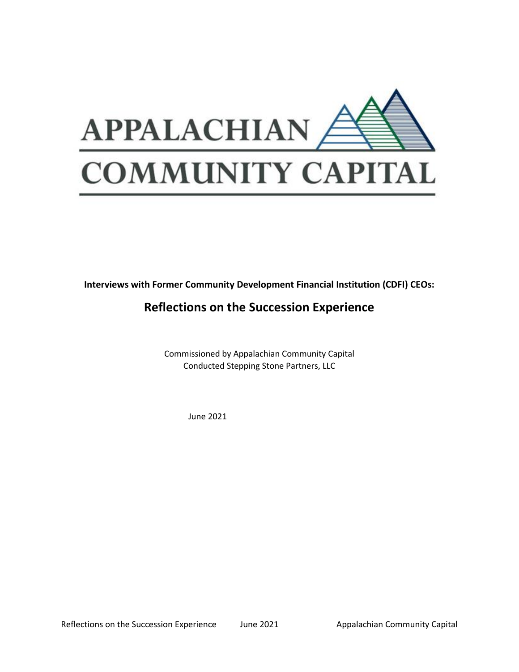

**Interviews with Former Community Development Financial Institution (CDFI) CEOs:** 

# **Reflections on the Succession Experience**

Commissioned by Appalachian Community Capital Conducted Stepping Stone Partners, LLC

June 2021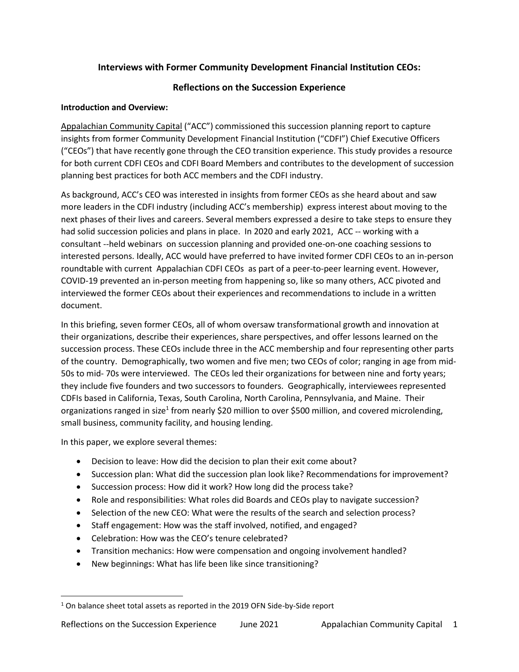# **Interviews with Former Community Development Financial Institution CEOs:**

# **Reflections on the Succession Experience**

### **Introduction and Overview:**

[Appalachian Community Capital](https://appalachiancommunitycapitalcdfi.org/) ("ACC") commissioned this succession planning report to capture insights from former Community Development Financial Institution ("CDFI") Chief Executive Officers ("CEOs") that have recently gone through the CEO transition experience. This study provides a resource for both current CDFI CEOs and CDFI Board Members and contributes to the development of succession planning best practices for both ACC members and the CDFI industry.

As background, ACC's CEO was interested in insights from former CEOs as she heard about and saw more leaders in the CDFI industry (including ACC's membership) express interest about moving to the next phases of their lives and careers. Several members expressed a desire to take steps to ensure they had solid succession policies and plans in place. In 2020 and early 2021, ACC -- working with a consultant --held webinars on succession planning and provided one-on-one coaching sessions to interested persons. Ideally, ACC would have preferred to have invited former CDFI CEOs to an in-person roundtable with current Appalachian CDFI CEOs as part of a peer-to-peer learning event. However, COVID-19 prevented an in-person meeting from happening so, like so many others, ACC pivoted and interviewed the former CEOs about their experiences and recommendations to include in a written document.

In this briefing, seven former CEOs, all of whom oversaw transformational growth and innovation at their organizations, describe their experiences, share perspectives, and offer lessons learned on the succession process. These CEOs include three in the ACC membership and four representing other parts of the country. Demographically, two women and five men; two CEOs of color; ranging in age from mid-50s to mid- 70s were interviewed. The CEOs led their organizations for between nine and forty years; they include five founders and two successors to founders. Geographically, interviewees represented CDFIs based in California, Texas, South Carolina, North Carolina, Pennsylvania, and Maine. Their organizations ranged in size<sup>1</sup> from nearly \$20 million to over \$500 million, and covered microlending, small business, community facility, and housing lending.

In this paper, we explore several themes:

- Decision to leave: How did the decision to plan their exit come about?
- Succession plan: What did the succession plan look like? Recommendations for improvement?
- Succession process: How did it work? How long did the process take?
- Role and responsibilities: What roles did Boards and CEOs play to navigate succession?
- Selection of the new CEO: What were the results of the search and selection process?
- Staff engagement: How was the staff involved, notified, and engaged?
- Celebration: How was the CEO's tenure celebrated?
- Transition mechanics: How were compensation and ongoing involvement handled?
- New beginnings: What has life been like since transitioning?

<sup>&</sup>lt;sup>1</sup> On balance sheet total assets as reported in the 2019 OFN Side-by-Side report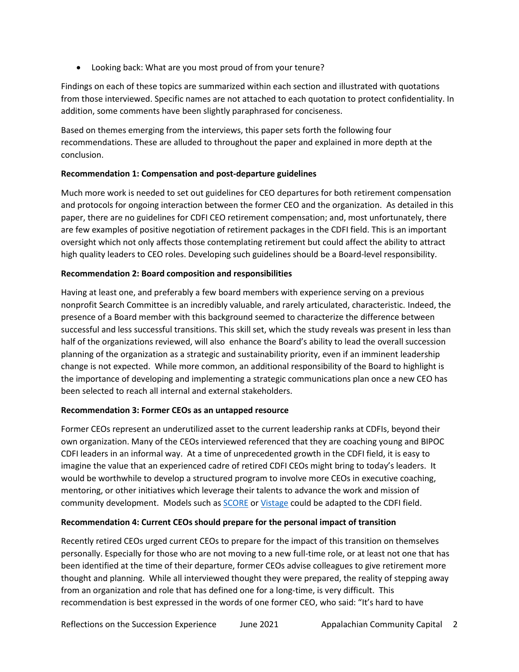• Looking back: What are you most proud of from your tenure?

Findings on each of these topics are summarized within each section and illustrated with quotations from those interviewed. Specific names are not attached to each quotation to protect confidentiality. In addition, some comments have been slightly paraphrased for conciseness.

Based on themes emerging from the interviews, this paper sets forth the following four recommendations. These are alluded to throughout the paper and explained in more depth at the conclusion.

## **Recommendation 1: Compensation and post-departure guidelines**

Much more work is needed to set out guidelines for CEO departures for both retirement compensation and protocols for ongoing interaction between the former CEO and the organization. As detailed in this paper, there are no guidelines for CDFI CEO retirement compensation; and, most unfortunately, there are few examples of positive negotiation of retirement packages in the CDFI field. This is an important oversight which not only affects those contemplating retirement but could affect the ability to attract high quality leaders to CEO roles. Developing such guidelines should be a Board-level responsibility.

# **Recommendation 2: Board composition and responsibilities**

Having at least one, and preferably a few board members with experience serving on a previous nonprofit Search Committee is an incredibly valuable, and rarely articulated, characteristic. Indeed, the presence of a Board member with this background seemed to characterize the difference between successful and less successful transitions. This skill set, which the study reveals was present in less than half of the organizations reviewed, will also enhance the Board's ability to lead the overall succession planning of the organization as a strategic and sustainability priority, even if an imminent leadership change is not expected. While more common, an additional responsibility of the Board to highlight is the importance of developing and implementing a strategic communications plan once a new CEO has been selected to reach all internal and external stakeholders.

## **Recommendation 3: Former CEOs as an untapped resource**

Former CEOs represent an underutilized asset to the current leadership ranks at CDFIs, beyond their own organization. Many of the CEOs interviewed referenced that they are coaching young and BIPOC CDFI leaders in an informal way. At a time of unprecedented growth in the CDFI field, it is easy to imagine the value that an experienced cadre of retired CDFI CEOs might bring to today's leaders. It would be worthwhile to develop a structured program to involve more CEOs in executive coaching, mentoring, or other initiatives which leverage their talents to advance the work and mission of community development. Models such as **SCORE** o[r Vistage](http://www.vistage.com/) could be adapted to the CDFI field.

# **Recommendation 4: Current CEOs should prepare for the personal impact of transition**

Recently retired CEOs urged current CEOs to prepare for the impact of this transition on themselves personally. Especially for those who are not moving to a new full-time role, or at least not one that has been identified at the time of their departure, former CEOs advise colleagues to give retirement more thought and planning. While all interviewed thought they were prepared, the reality of stepping away from an organization and role that has defined one for a long-time, is very difficult. This recommendation is best expressed in the words of one former CEO, who said: "It's hard to have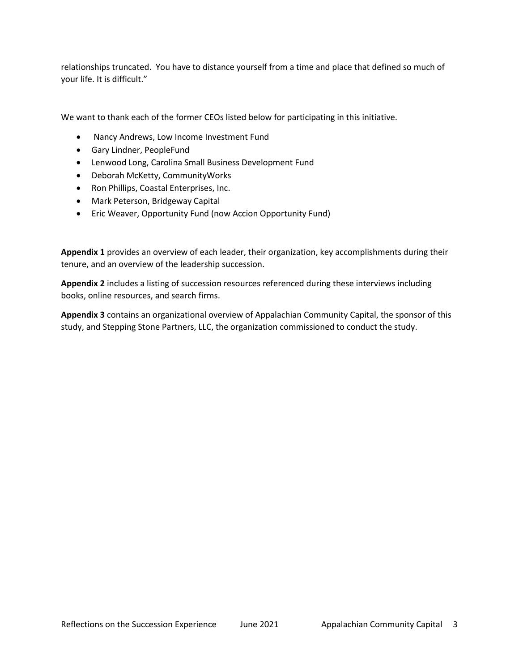relationships truncated. You have to distance yourself from a time and place that defined so much of your life. It is difficult."

We want to thank each of the former CEOs listed below for participating in this initiative.

- Nancy Andrews, Low Income Investment Fund
- Gary Lindner, PeopleFund
- Lenwood Long, Carolina Small Business Development Fund
- Deborah McKetty, CommunityWorks
- Ron Phillips, Coastal Enterprises, Inc.
- Mark Peterson, Bridgeway Capital
- Eric Weaver, Opportunity Fund (now Accion Opportunity Fund)

**Appendix 1** provides an overview of each leader, their organization, key accomplishments during their tenure, and an overview of the leadership succession.

**Appendix 2** includes a listing of succession resources referenced during these interviews including books, online resources, and search firms.

**Appendix 3** contains an organizational overview of Appalachian Community Capital, the sponsor of this study, and Stepping Stone Partners, LLC, the organization commissioned to conduct the study.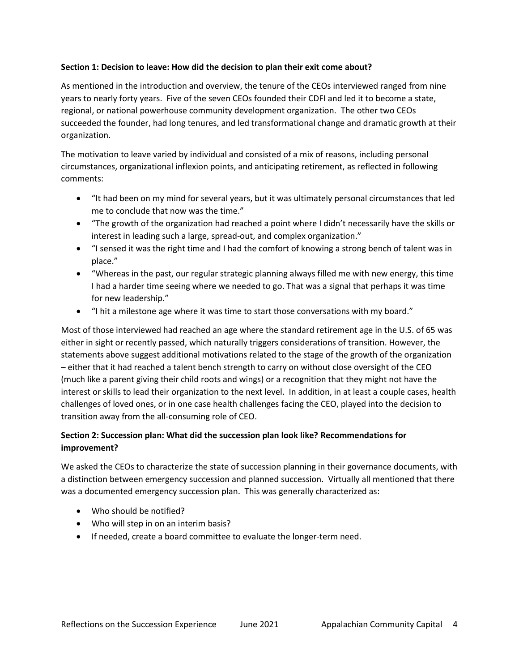### **Section 1: Decision to leave: How did the decision to plan their exit come about?**

As mentioned in the introduction and overview, the tenure of the CEOs interviewed ranged from nine years to nearly forty years. Five of the seven CEOs founded their CDFI and led it to become a state, regional, or national powerhouse community development organization. The other two CEOs succeeded the founder, had long tenures, and led transformational change and dramatic growth at their organization.

The motivation to leave varied by individual and consisted of a mix of reasons, including personal circumstances, organizational inflexion points, and anticipating retirement, as reflected in following comments:

- "It had been on my mind for several years, but it was ultimately personal circumstances that led me to conclude that now was the time."
- "The growth of the organization had reached a point where I didn't necessarily have the skills or interest in leading such a large, spread-out, and complex organization."
- "I sensed it was the right time and I had the comfort of knowing a strong bench of talent was in place."
- "Whereas in the past, our regular strategic planning always filled me with new energy, this time I had a harder time seeing where we needed to go. That was a signal that perhaps it was time for new leadership."
- "I hit a milestone age where it was time to start those conversations with my board."

Most of those interviewed had reached an age where the standard retirement age in the U.S. of 65 was either in sight or recently passed, which naturally triggers considerations of transition. However, the statements above suggest additional motivations related to the stage of the growth of the organization – either that it had reached a talent bench strength to carry on without close oversight of the CEO (much like a parent giving their child roots and wings) or a recognition that they might not have the interest or skills to lead their organization to the next level. In addition, in at least a couple cases, health challenges of loved ones, or in one case health challenges facing the CEO, played into the decision to transition away from the all-consuming role of CEO.

# **Section 2: Succession plan: What did the succession plan look like? Recommendations for improvement?**

We asked the CEOs to characterize the state of succession planning in their governance documents, with a distinction between emergency succession and planned succession. Virtually all mentioned that there was a documented emergency succession plan. This was generally characterized as:

- Who should be notified?
- Who will step in on an interim basis?
- If needed, create a board committee to evaluate the longer-term need.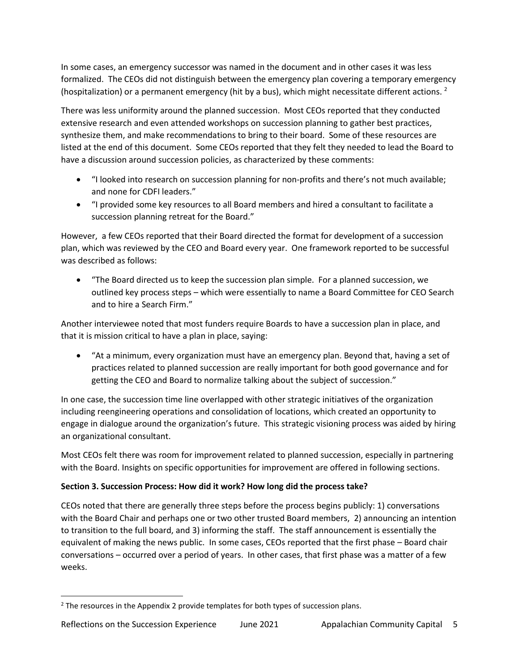In some cases, an emergency successor was named in the document and in other cases it was less formalized. The CEOs did not distinguish between the emergency plan covering a temporary emergency (hospitalization) or a permanent emergency (hit by a bus), which might necessitate different actions. <sup>2</sup>

There was less uniformity around the planned succession. Most CEOs reported that they conducted extensive research and even attended workshops on succession planning to gather best practices, synthesize them, and make recommendations to bring to their board. Some of these resources are listed at the end of this document. Some CEOs reported that they felt they needed to lead the Board to have a discussion around succession policies, as characterized by these comments:

- "I looked into research on succession planning for non-profits and there's not much available; and none for CDFI leaders."
- "I provided some key resources to all Board members and hired a consultant to facilitate a succession planning retreat for the Board."

However, a few CEOs reported that their Board directed the format for development of a succession plan, which was reviewed by the CEO and Board every year. One framework reported to be successful was described as follows:

• "The Board directed us to keep the succession plan simple. For a planned succession, we outlined key process steps – which were essentially to name a Board Committee for CEO Search and to hire a Search Firm."

Another interviewee noted that most funders require Boards to have a succession plan in place, and that it is mission critical to have a plan in place, saying:

• "At a minimum, every organization must have an emergency plan. Beyond that, having a set of practices related to planned succession are really important for both good governance and for getting the CEO and Board to normalize talking about the subject of succession."

In one case, the succession time line overlapped with other strategic initiatives of the organization including reengineering operations and consolidation of locations, which created an opportunity to engage in dialogue around the organization's future. This strategic visioning process was aided by hiring an organizational consultant.

Most CEOs felt there was room for improvement related to planned succession, especially in partnering with the Board. Insights on specific opportunities for improvement are offered in following sections.

# **Section 3. Succession Process: How did it work? How long did the process take?**

CEOs noted that there are generally three steps before the process begins publicly: 1) conversations with the Board Chair and perhaps one or two other trusted Board members, 2) announcing an intention to transition to the full board, and 3) informing the staff. The staff announcement is essentially the equivalent of making the news public. In some cases, CEOs reported that the first phase – Board chair conversations – occurred over a period of years. In other cases, that first phase was a matter of a few weeks.

<sup>&</sup>lt;sup>2</sup> The resources in the Appendix 2 provide templates for both types of succession plans.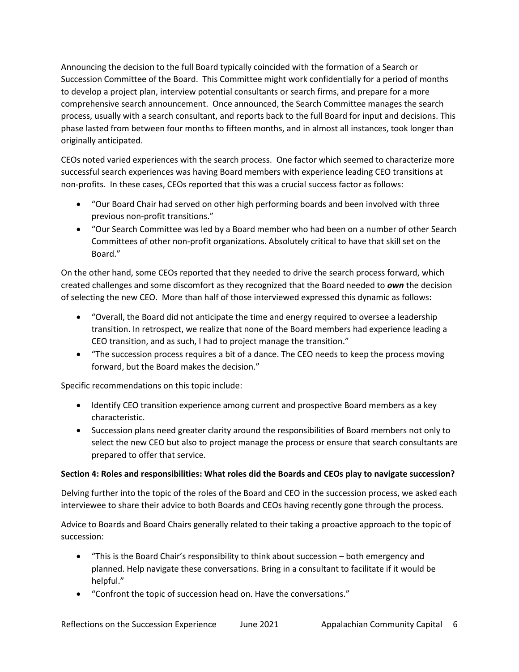Announcing the decision to the full Board typically coincided with the formation of a Search or Succession Committee of the Board. This Committee might work confidentially for a period of months to develop a project plan, interview potential consultants or search firms, and prepare for a more comprehensive search announcement. Once announced, the Search Committee manages the search process, usually with a search consultant, and reports back to the full Board for input and decisions. This phase lasted from between four months to fifteen months, and in almost all instances, took longer than originally anticipated.

CEOs noted varied experiences with the search process. One factor which seemed to characterize more successful search experiences was having Board members with experience leading CEO transitions at non-profits. In these cases, CEOs reported that this was a crucial success factor as follows:

- "Our Board Chair had served on other high performing boards and been involved with three previous non-profit transitions."
- "Our Search Committee was led by a Board member who had been on a number of other Search Committees of other non-profit organizations. Absolutely critical to have that skill set on the Board."

On the other hand, some CEOs reported that they needed to drive the search process forward, which created challenges and some discomfort as they recognized that the Board needed to *own* the decision of selecting the new CEO. More than half of those interviewed expressed this dynamic as follows:

- "Overall, the Board did not anticipate the time and energy required to oversee a leadership transition. In retrospect, we realize that none of the Board members had experience leading a CEO transition, and as such, I had to project manage the transition."
- "The succession process requires a bit of a dance. The CEO needs to keep the process moving forward, but the Board makes the decision."

Specific recommendations on this topic include:

- Identify CEO transition experience among current and prospective Board members as a key characteristic.
- Succession plans need greater clarity around the responsibilities of Board members not only to select the new CEO but also to project manage the process or ensure that search consultants are prepared to offer that service.

## **Section 4: Roles and responsibilities: What roles did the Boards and CEOs play to navigate succession?**

Delving further into the topic of the roles of the Board and CEO in the succession process, we asked each interviewee to share their advice to both Boards and CEOs having recently gone through the process.

Advice to Boards and Board Chairs generally related to their taking a proactive approach to the topic of succession:

- "This is the Board Chair's responsibility to think about succession both emergency and planned. Help navigate these conversations. Bring in a consultant to facilitate if it would be helpful."
- "Confront the topic of succession head on. Have the conversations."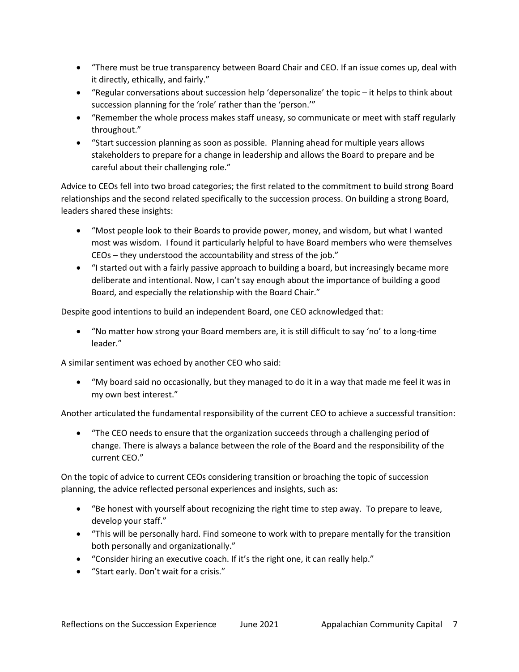- "There must be true transparency between Board Chair and CEO. If an issue comes up, deal with it directly, ethically, and fairly."
- "Regular conversations about succession help 'depersonalize' the topic it helps to think about succession planning for the 'role' rather than the 'person.'"
- "Remember the whole process makes staff uneasy, so communicate or meet with staff regularly throughout."
- "Start succession planning as soon as possible. Planning ahead for multiple years allows stakeholders to prepare for a change in leadership and allows the Board to prepare and be careful about their challenging role."

Advice to CEOs fell into two broad categories; the first related to the commitment to build strong Board relationships and the second related specifically to the succession process. On building a strong Board, leaders shared these insights:

- "Most people look to their Boards to provide power, money, and wisdom, but what I wanted most was wisdom. I found it particularly helpful to have Board members who were themselves CEOs – they understood the accountability and stress of the job."
- "I started out with a fairly passive approach to building a board, but increasingly became more deliberate and intentional. Now, I can't say enough about the importance of building a good Board, and especially the relationship with the Board Chair."

Despite good intentions to build an independent Board, one CEO acknowledged that:

• "No matter how strong your Board members are, it is still difficult to say 'no' to a long-time leader."

A similar sentiment was echoed by another CEO who said:

• "My board said no occasionally, but they managed to do it in a way that made me feel it was in my own best interest."

Another articulated the fundamental responsibility of the current CEO to achieve a successful transition:

• "The CEO needs to ensure that the organization succeeds through a challenging period of change. There is always a balance between the role of the Board and the responsibility of the current CEO."

On the topic of advice to current CEOs considering transition or broaching the topic of succession planning, the advice reflected personal experiences and insights, such as:

- "Be honest with yourself about recognizing the right time to step away. To prepare to leave, develop your staff."
- "This will be personally hard. Find someone to work with to prepare mentally for the transition both personally and organizationally."
- "Consider hiring an executive coach. If it's the right one, it can really help."
- "Start early. Don't wait for a crisis."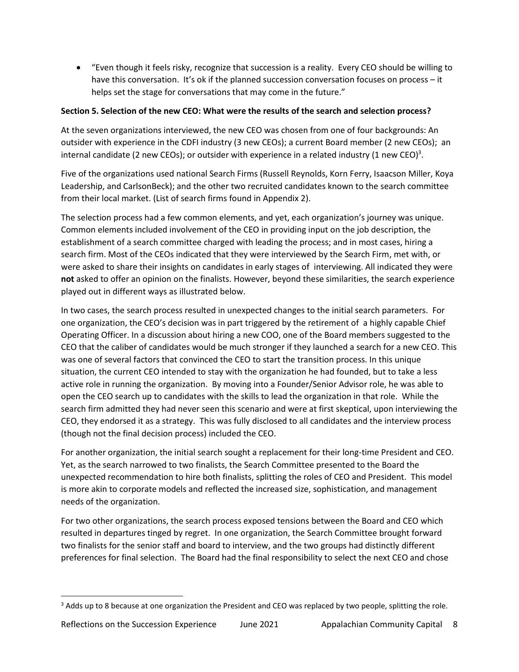• "Even though it feels risky, recognize that succession is a reality. Every CEO should be willing to have this conversation. It's ok if the planned succession conversation focuses on process – it helps set the stage for conversations that may come in the future."

# **Section 5. Selection of the new CEO: What were the results of the search and selection process?**

At the seven organizations interviewed, the new CEO was chosen from one of four backgrounds: An outsider with experience in the CDFI industry (3 new CEOs); a current Board member (2 new CEOs); an internal candidate (2 new CEOs); or outsider with experience in a related industry (1 new CEO)<sup>3</sup>.

Five of the organizations used national Search Firms (Russell Reynolds, Korn Ferry, Isaacson Miller, Koya Leadership, and CarlsonBeck); and the other two recruited candidates known to the search committee from their local market. (List of search firms found in Appendix 2).

The selection process had a few common elements, and yet, each organization's journey was unique. Common elements included involvement of the CEO in providing input on the job description, the establishment of a search committee charged with leading the process; and in most cases, hiring a search firm. Most of the CEOs indicated that they were interviewed by the Search Firm, met with, or were asked to share their insights on candidates in early stages of interviewing. All indicated they were **not** asked to offer an opinion on the finalists. However, beyond these similarities, the search experience played out in different ways as illustrated below.

In two cases, the search process resulted in unexpected changes to the initial search parameters. For one organization, the CEO's decision was in part triggered by the retirement of a highly capable Chief Operating Officer. In a discussion about hiring a new COO, one of the Board members suggested to the CEO that the caliber of candidates would be much stronger if they launched a search for a new CEO. This was one of several factors that convinced the CEO to start the transition process. In this unique situation, the current CEO intended to stay with the organization he had founded, but to take a less active role in running the organization. By moving into a Founder/Senior Advisor role, he was able to open the CEO search up to candidates with the skills to lead the organization in that role. While the search firm admitted they had never seen this scenario and were at first skeptical, upon interviewing the CEO, they endorsed it as a strategy. This was fully disclosed to all candidates and the interview process (though not the final decision process) included the CEO.

For another organization, the initial search sought a replacement for their long-time President and CEO. Yet, as the search narrowed to two finalists, the Search Committee presented to the Board the unexpected recommendation to hire both finalists, splitting the roles of CEO and President. This model is more akin to corporate models and reflected the increased size, sophistication, and management needs of the organization.

For two other organizations, the search process exposed tensions between the Board and CEO which resulted in departures tinged by regret. In one organization, the Search Committee brought forward two finalists for the senior staff and board to interview, and the two groups had distinctly different preferences for final selection. The Board had the final responsibility to select the next CEO and chose

<sup>&</sup>lt;sup>3</sup> Adds up to 8 because at one organization the President and CEO was replaced by two people, splitting the role.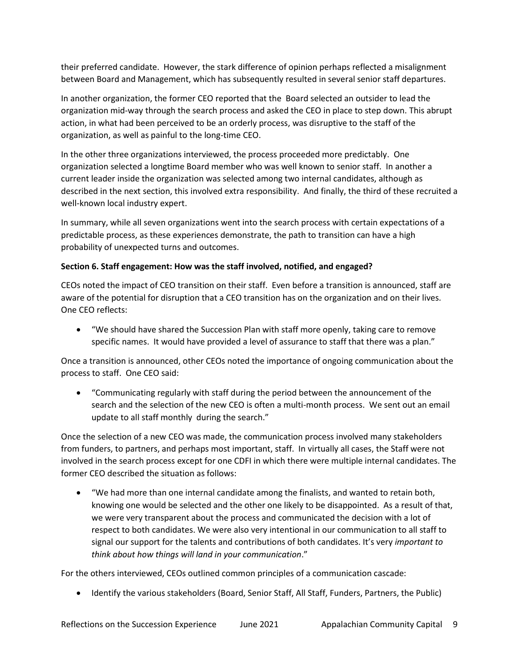their preferred candidate. However, the stark difference of opinion perhaps reflected a misalignment between Board and Management, which has subsequently resulted in several senior staff departures.

In another organization, the former CEO reported that the Board selected an outsider to lead the organization mid-way through the search process and asked the CEO in place to step down. This abrupt action, in what had been perceived to be an orderly process, was disruptive to the staff of the organization, as well as painful to the long-time CEO.

In the other three organizations interviewed, the process proceeded more predictably. One organization selected a longtime Board member who was well known to senior staff. In another a current leader inside the organization was selected among two internal candidates, although as described in the next section, this involved extra responsibility. And finally, the third of these recruited a well-known local industry expert.

In summary, while all seven organizations went into the search process with certain expectations of a predictable process, as these experiences demonstrate, the path to transition can have a high probability of unexpected turns and outcomes.

## **Section 6. Staff engagement: How was the staff involved, notified, and engaged?**

CEOs noted the impact of CEO transition on their staff. Even before a transition is announced, staff are aware of the potential for disruption that a CEO transition has on the organization and on their lives. One CEO reflects:

• "We should have shared the Succession Plan with staff more openly, taking care to remove specific names. It would have provided a level of assurance to staff that there was a plan."

Once a transition is announced, other CEOs noted the importance of ongoing communication about the process to staff. One CEO said:

• "Communicating regularly with staff during the period between the announcement of the search and the selection of the new CEO is often a multi-month process. We sent out an email update to all staff monthly during the search."

Once the selection of a new CEO was made, the communication process involved many stakeholders from funders, to partners, and perhaps most important, staff. In virtually all cases, the Staff were not involved in the search process except for one CDFI in which there were multiple internal candidates. The former CEO described the situation as follows:

• "We had more than one internal candidate among the finalists, and wanted to retain both, knowing one would be selected and the other one likely to be disappointed. As a result of that, we were very transparent about the process and communicated the decision with a lot of respect to both candidates. We were also very intentional in our communication to all staff to signal our support for the talents and contributions of both candidates. It's very *important to think about how things will land in your communication*."

For the others interviewed, CEOs outlined common principles of a communication cascade:

• Identify the various stakeholders (Board, Senior Staff, All Staff, Funders, Partners, the Public)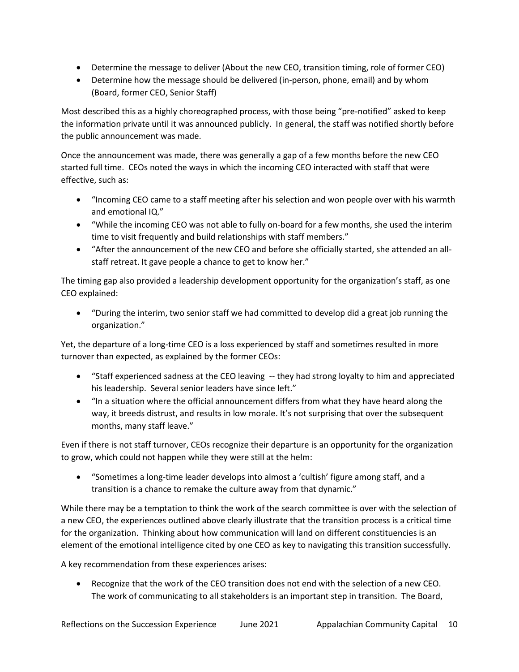- Determine the message to deliver (About the new CEO, transition timing, role of former CEO)
- Determine how the message should be delivered (in-person, phone, email) and by whom (Board, former CEO, Senior Staff)

Most described this as a highly choreographed process, with those being "pre-notified" asked to keep the information private until it was announced publicly. In general, the staff was notified shortly before the public announcement was made.

Once the announcement was made, there was generally a gap of a few months before the new CEO started full time. CEOs noted the ways in which the incoming CEO interacted with staff that were effective, such as:

- "Incoming CEO came to a staff meeting after his selection and won people over with his warmth and emotional IQ."
- "While the incoming CEO was not able to fully on-board for a few months, she used the interim time to visit frequently and build relationships with staff members."
- "After the announcement of the new CEO and before she officially started, she attended an allstaff retreat. It gave people a chance to get to know her."

The timing gap also provided a leadership development opportunity for the organization's staff, as one CEO explained:

• "During the interim, two senior staff we had committed to develop did a great job running the organization."

Yet, the departure of a long-time CEO is a loss experienced by staff and sometimes resulted in more turnover than expected, as explained by the former CEOs:

- "Staff experienced sadness at the CEO leaving -- they had strong loyalty to him and appreciated his leadership. Several senior leaders have since left."
- "In a situation where the official announcement differs from what they have heard along the way, it breeds distrust, and results in low morale. It's not surprising that over the subsequent months, many staff leave."

Even if there is not staff turnover, CEOs recognize their departure is an opportunity for the organization to grow, which could not happen while they were still at the helm:

• "Sometimes a long-time leader develops into almost a 'cultish' figure among staff, and a transition is a chance to remake the culture away from that dynamic."

While there may be a temptation to think the work of the search committee is over with the selection of a new CEO, the experiences outlined above clearly illustrate that the transition process is a critical time for the organization. Thinking about how communication will land on different constituencies is an element of the emotional intelligence cited by one CEO as key to navigating this transition successfully.

A key recommendation from these experiences arises:

• Recognize that the work of the CEO transition does not end with the selection of a new CEO. The work of communicating to all stakeholders is an important step in transition. The Board,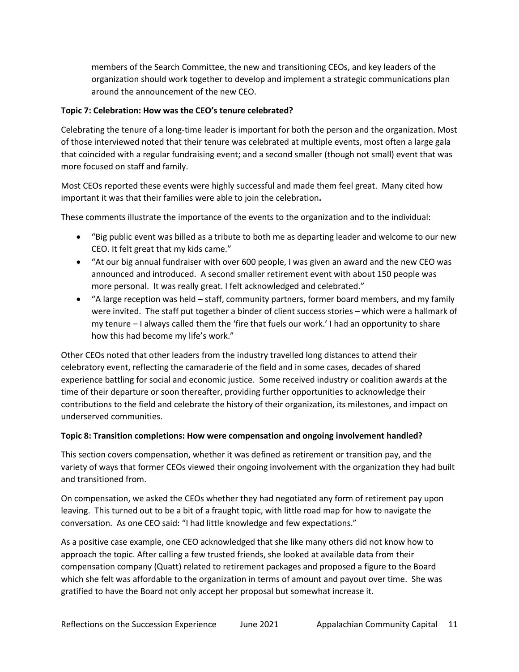members of the Search Committee, the new and transitioning CEOs, and key leaders of the organization should work together to develop and implement a strategic communications plan around the announcement of the new CEO.

### **Topic 7: Celebration: How was the CEO's tenure celebrated?**

Celebrating the tenure of a long-time leader is important for both the person and the organization. Most of those interviewed noted that their tenure was celebrated at multiple events, most often a large gala that coincided with a regular fundraising event; and a second smaller (though not small) event that was more focused on staff and family.

Most CEOs reported these events were highly successful and made them feel great. Many cited how important it was that their families were able to join the celebration**.**

These comments illustrate the importance of the events to the organization and to the individual:

- "Big public event was billed as a tribute to both me as departing leader and welcome to our new CEO. It felt great that my kids came."
- "At our big annual fundraiser with over 600 people, I was given an award and the new CEO was announced and introduced. A second smaller retirement event with about 150 people was more personal. It was really great. I felt acknowledged and celebrated."
- "A large reception was held staff, community partners, former board members, and my family were invited. The staff put together a binder of client success stories – which were a hallmark of my tenure – I always called them the 'fire that fuels our work.' I had an opportunity to share how this had become my life's work."

Other CEOs noted that other leaders from the industry travelled long distances to attend their celebratory event, reflecting the camaraderie of the field and in some cases, decades of shared experience battling for social and economic justice. Some received industry or coalition awards at the time of their departure or soon thereafter, providing further opportunities to acknowledge their contributions to the field and celebrate the history of their organization, its milestones, and impact on underserved communities.

#### **Topic 8: Transition completions: How were compensation and ongoing involvement handled?**

This section covers compensation, whether it was defined as retirement or transition pay, and the variety of ways that former CEOs viewed their ongoing involvement with the organization they had built and transitioned from.

On compensation, we asked the CEOs whether they had negotiated any form of retirement pay upon leaving. This turned out to be a bit of a fraught topic, with little road map for how to navigate the conversation. As one CEO said: "I had little knowledge and few expectations."

As a positive case example, one CEO acknowledged that she like many others did not know how to approach the topic. After calling a few trusted friends, she looked at available data from their compensation company (Quatt) related to retirement packages and proposed a figure to the Board which she felt was affordable to the organization in terms of amount and payout over time. She was gratified to have the Board not only accept her proposal but somewhat increase it.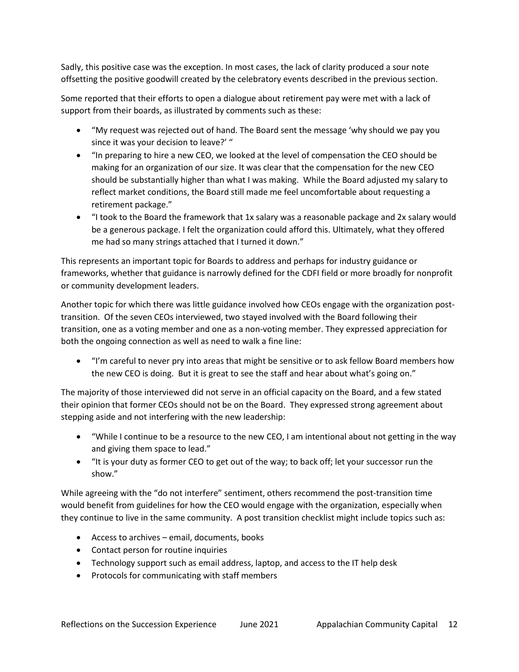Sadly, this positive case was the exception. In most cases, the lack of clarity produced a sour note offsetting the positive goodwill created by the celebratory events described in the previous section.

Some reported that their efforts to open a dialogue about retirement pay were met with a lack of support from their boards, as illustrated by comments such as these:

- "My request was rejected out of hand. The Board sent the message 'why should we pay you since it was your decision to leave?' "
- "In preparing to hire a new CEO, we looked at the level of compensation the CEO should be making for an organization of our size. It was clear that the compensation for the new CEO should be substantially higher than what I was making. While the Board adjusted my salary to reflect market conditions, the Board still made me feel uncomfortable about requesting a retirement package."
- "I took to the Board the framework that 1x salary was a reasonable package and 2x salary would be a generous package. I felt the organization could afford this. Ultimately, what they offered me had so many strings attached that I turned it down."

This represents an important topic for Boards to address and perhaps for industry guidance or frameworks, whether that guidance is narrowly defined for the CDFI field or more broadly for nonprofit or community development leaders.

Another topic for which there was little guidance involved how CEOs engage with the organization posttransition. Of the seven CEOs interviewed, two stayed involved with the Board following their transition, one as a voting member and one as a non-voting member. They expressed appreciation for both the ongoing connection as well as need to walk a fine line:

• "I'm careful to never pry into areas that might be sensitive or to ask fellow Board members how the new CEO is doing. But it is great to see the staff and hear about what's going on."

The majority of those interviewed did not serve in an official capacity on the Board, and a few stated their opinion that former CEOs should not be on the Board. They expressed strong agreement about stepping aside and not interfering with the new leadership:

- "While I continue to be a resource to the new CEO, I am intentional about not getting in the way and giving them space to lead."
- "It is your duty as former CEO to get out of the way; to back off; let your successor run the show."

While agreeing with the "do not interfere" sentiment, others recommend the post-transition time would benefit from guidelines for how the CEO would engage with the organization, especially when they continue to live in the same community. A post transition checklist might include topics such as:

- Access to archives email, documents, books
- Contact person for routine inquiries
- Technology support such as email address, laptop, and access to the IT help desk
- Protocols for communicating with staff members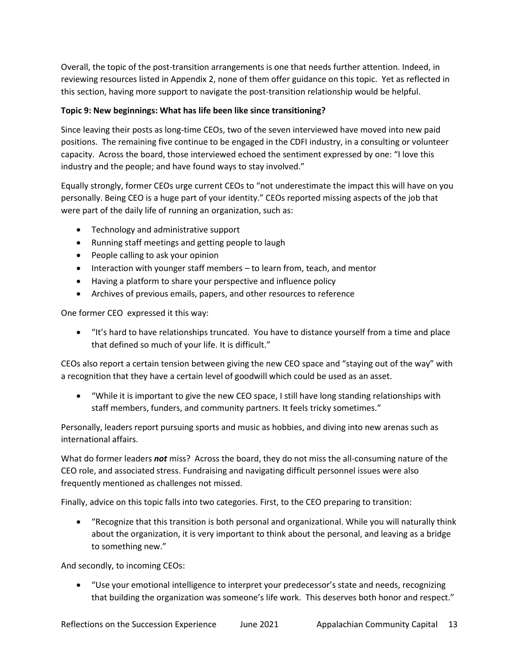Overall, the topic of the post-transition arrangements is one that needs further attention. Indeed, in reviewing resources listed in Appendix 2, none of them offer guidance on this topic. Yet as reflected in this section, having more support to navigate the post-transition relationship would be helpful.

# **Topic 9: New beginnings: What has life been like since transitioning?**

Since leaving their posts as long-time CEOs, two of the seven interviewed have moved into new paid positions. The remaining five continue to be engaged in the CDFI industry, in a consulting or volunteer capacity. Across the board, those interviewed echoed the sentiment expressed by one: "I love this industry and the people; and have found ways to stay involved."

Equally strongly, former CEOs urge current CEOs to "not underestimate the impact this will have on you personally. Being CEO is a huge part of your identity." CEOs reported missing aspects of the job that were part of the daily life of running an organization, such as:

- Technology and administrative support
- Running staff meetings and getting people to laugh
- People calling to ask your opinion
- Interaction with younger staff members to learn from, teach, and mentor
- Having a platform to share your perspective and influence policy
- Archives of previous emails, papers, and other resources to reference

One former CEO expressed it this way:

• "It's hard to have relationships truncated. You have to distance yourself from a time and place that defined so much of your life. It is difficult."

CEOs also report a certain tension between giving the new CEO space and "staying out of the way" with a recognition that they have a certain level of goodwill which could be used as an asset.

• "While it is important to give the new CEO space, I still have long standing relationships with staff members, funders, and community partners. It feels tricky sometimes."

Personally, leaders report pursuing sports and music as hobbies, and diving into new arenas such as international affairs.

What do former leaders *not* miss? Across the board, they do not miss the all-consuming nature of the CEO role, and associated stress. Fundraising and navigating difficult personnel issues were also frequently mentioned as challenges not missed.

Finally, advice on this topic falls into two categories. First, to the CEO preparing to transition:

• "Recognize that this transition is both personal and organizational. While you will naturally think about the organization, it is very important to think about the personal, and leaving as a bridge to something new."

And secondly, to incoming CEOs:

• "Use your emotional intelligence to interpret your predecessor's state and needs, recognizing that building the organization was someone's life work. This deserves both honor and respect."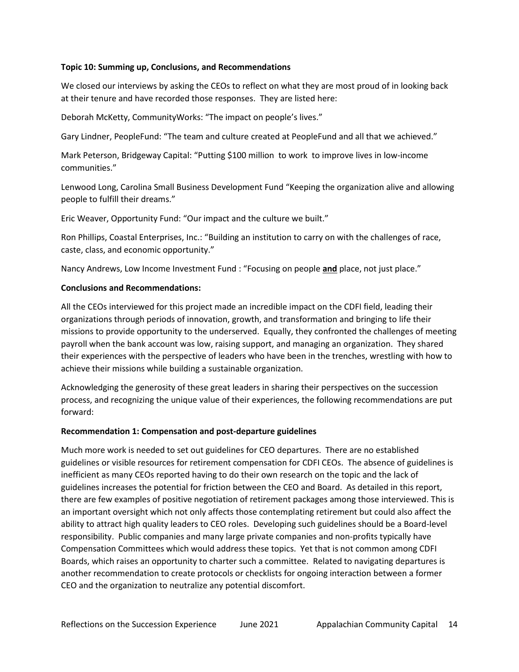#### **Topic 10: Summing up, Conclusions, and Recommendations**

We closed our interviews by asking the CEOs to reflect on what they are most proud of in looking back at their tenure and have recorded those responses. They are listed here:

Deborah McKetty, CommunityWorks: "The impact on people's lives."

Gary Lindner, PeopleFund: "The team and culture created at PeopleFund and all that we achieved."

Mark Peterson, Bridgeway Capital: "Putting \$100 million to work to improve lives in low-income communities."

Lenwood Long, Carolina Small Business Development Fund "Keeping the organization alive and allowing people to fulfill their dreams."

Eric Weaver, Opportunity Fund: "Our impact and the culture we built."

Ron Phillips, Coastal Enterprises, Inc.: "Building an institution to carry on with the challenges of race, caste, class, and economic opportunity."

Nancy Andrews, Low Income Investment Fund : "Focusing on people **and** place, not just place."

#### **Conclusions and Recommendations:**

All the CEOs interviewed for this project made an incredible impact on the CDFI field, leading their organizations through periods of innovation, growth, and transformation and bringing to life their missions to provide opportunity to the underserved. Equally, they confronted the challenges of meeting payroll when the bank account was low, raising support, and managing an organization. They shared their experiences with the perspective of leaders who have been in the trenches, wrestling with how to achieve their missions while building a sustainable organization.

Acknowledging the generosity of these great leaders in sharing their perspectives on the succession process, and recognizing the unique value of their experiences, the following recommendations are put forward:

#### **Recommendation 1: Compensation and post-departure guidelines**

Much more work is needed to set out guidelines for CEO departures. There are no established guidelines or visible resources for retirement compensation for CDFI CEOs. The absence of guidelines is inefficient as many CEOs reported having to do their own research on the topic and the lack of guidelines increases the potential for friction between the CEO and Board. As detailed in this report, there are few examples of positive negotiation of retirement packages among those interviewed. This is an important oversight which not only affects those contemplating retirement but could also affect the ability to attract high quality leaders to CEO roles. Developing such guidelines should be a Board-level responsibility. Public companies and many large private companies and non-profits typically have Compensation Committees which would address these topics. Yet that is not common among CDFI Boards, which raises an opportunity to charter such a committee. Related to navigating departures is another recommendation to create protocols or checklists for ongoing interaction between a former CEO and the organization to neutralize any potential discomfort.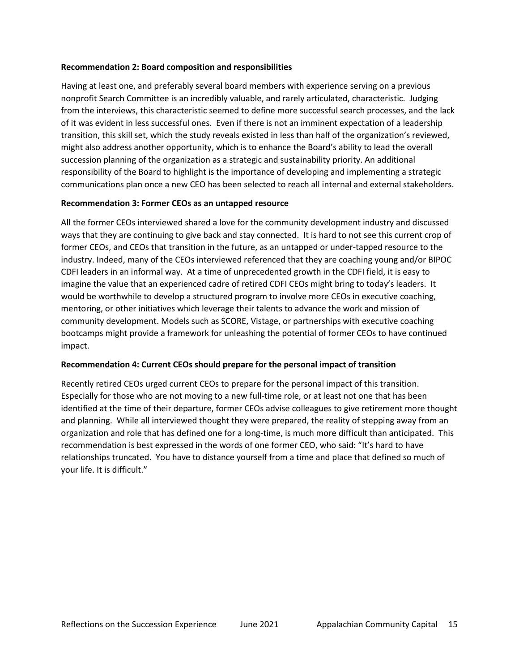#### **Recommendation 2: Board composition and responsibilities**

Having at least one, and preferably several board members with experience serving on a previous nonprofit Search Committee is an incredibly valuable, and rarely articulated, characteristic. Judging from the interviews, this characteristic seemed to define more successful search processes, and the lack of it was evident in less successful ones. Even if there is not an imminent expectation of a leadership transition, this skill set, which the study reveals existed in less than half of the organization's reviewed, might also address another opportunity, which is to enhance the Board's ability to lead the overall succession planning of the organization as a strategic and sustainability priority. An additional responsibility of the Board to highlight is the importance of developing and implementing a strategic communications plan once a new CEO has been selected to reach all internal and external stakeholders.

#### **Recommendation 3: Former CEOs as an untapped resource**

All the former CEOs interviewed shared a love for the community development industry and discussed ways that they are continuing to give back and stay connected. It is hard to not see this current crop of former CEOs, and CEOs that transition in the future, as an untapped or under-tapped resource to the industry. Indeed, many of the CEOs interviewed referenced that they are coaching young and/or BIPOC CDFI leaders in an informal way. At a time of unprecedented growth in the CDFI field, it is easy to imagine the value that an experienced cadre of retired CDFI CEOs might bring to today's leaders. It would be worthwhile to develop a structured program to involve more CEOs in executive coaching, mentoring, or other initiatives which leverage their talents to advance the work and mission of community development. Models such as SCORE, Vistage, or partnerships with executive coaching bootcamps might provide a framework for unleashing the potential of former CEOs to have continued impact.

#### **Recommendation 4: Current CEOs should prepare for the personal impact of transition**

Recently retired CEOs urged current CEOs to prepare for the personal impact of this transition. Especially for those who are not moving to a new full-time role, or at least not one that has been identified at the time of their departure, former CEOs advise colleagues to give retirement more thought and planning. While all interviewed thought they were prepared, the reality of stepping away from an organization and role that has defined one for a long-time, is much more difficult than anticipated. This recommendation is best expressed in the words of one former CEO, who said: "It's hard to have relationships truncated. You have to distance yourself from a time and place that defined so much of your life. It is difficult."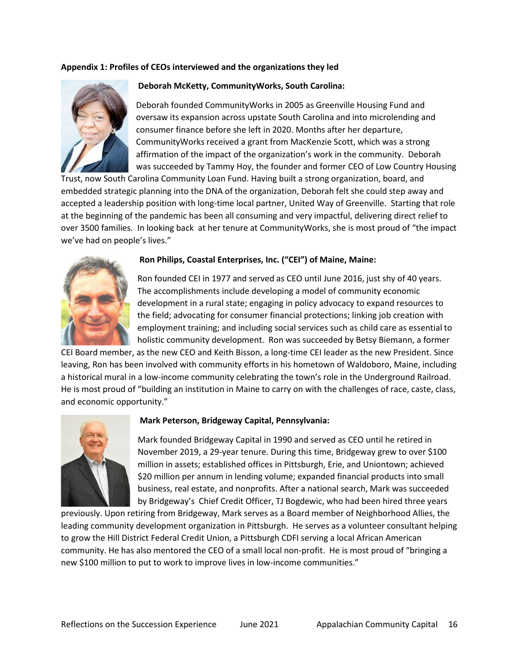#### **Appendix 1: Profiles of CEOs interviewed and the organizations they led**



#### **Deborah McKetty, CommunityWorks, South Carolina:**

Deborah founded CommunityWorks in 2005 as Greenville Housing Fund and oversaw its expansion across upstate South Carolina and into microlending and consumer finance before she left in 2020. Months after her departure, CommunityWorks received a grant from MacKenzie Scott, which was a strong affirmation of the impact of the organization's work in the community. Deborah was succeeded by Tammy Hoy, the founder and former CEO of Low Country Housing

Trust, now South Carolina Community Loan Fund. Having built a strong organization, board, and embedded strategic planning into the DNA of the organization, Deborah felt she could step away and accepted a leadership position with long-time local partner, United Way of Greenville. Starting that role at the beginning of the pandemic has been all consuming and very impactful, delivering direct relief to over 3500 families. In looking back at her tenure at CommunityWorks, she is most proud of "the impact we've had on people's lives."



#### **Ron Philips, Coastal Enterprises, Inc. ("CEI") of Maine, Maine:**

Ron founded CEI in 1977 and served as CEO until June 2016, just shy of 40 years. The accomplishments include developing a model of community economic development in a rural state; engaging in policy advocacy to expand resources to the field; advocating for consumer financial protections; linking job creation with employment training; and including social services such as child care as essential to holistic community development. Ron was succeeded by Betsy Biemann, a former

CEI Board member, as the new CEO and Keith Bisson, a long-time CEI leader as the new President. Since leaving, Ron has been involved with community efforts in his hometown of Waldoboro, Maine, including a historical mural in a low-income community celebrating the town's role in the Underground Railroad. He is most proud of "building an institution in Maine to carry on with the challenges of race, caste, class, and economic opportunity."



#### **Mark Peterson, Bridgeway Capital, Pennsylvania:**

Mark founded Bridgeway Capital in 1990 and served as CEO until he retired in November 2019, a 29-year tenure. During this time, Bridgeway grew to over \$100 million in assets; established offices in Pittsburgh, Erie, and Uniontown; achieved \$20 million per annum in lending volume; expanded financial products into small business, real estate, and nonprofits. After a national search, Mark was succeeded by Bridgeway's Chief Credit Officer, TJ Bogdewic, who had been hired three years

previously. Upon retiring from Bridgeway, Mark serves as a Board member of Neighborhood Allies, the leading community development organization in Pittsburgh. He serves as a volunteer consultant helping to grow the Hill District Federal Credit Union, a Pittsburgh CDFI serving a local African American community. He has also mentored the CEO of a small local non-profit. He is most proud of "bringing a new \$100 million to put to work to improve lives in low-income communities."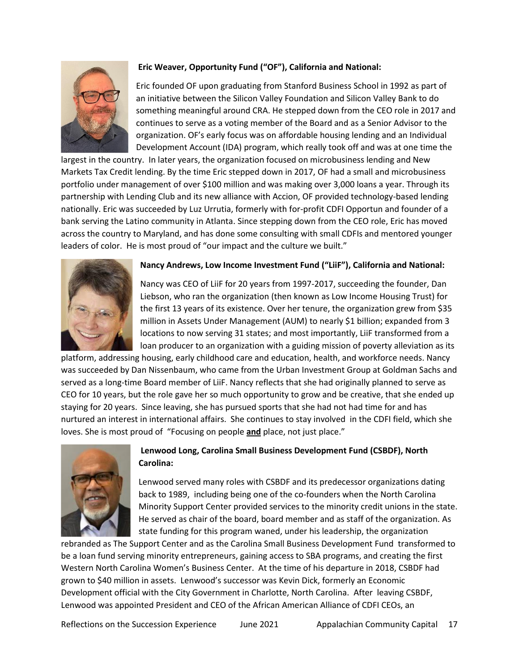

# **Eric Weaver, Opportunity Fund ("OF"), California and National:**

Eric founded OF upon graduating from Stanford Business School in 1992 as part of an initiative between the Silicon Valley Foundation and Silicon Valley Bank to do something meaningful around CRA. He stepped down from the CEO role in 2017 and continues to serve as a voting member of the Board and as a Senior Advisor to the organization. OF's early focus was on affordable housing lending and an Individual Development Account (IDA) program, which really took off and was at one time the

largest in the country. In later years, the organization focused on microbusiness lending and New Markets Tax Credit lending. By the time Eric stepped down in 2017, OF had a small and microbusiness portfolio under management of over \$100 million and was making over 3,000 loans a year. Through its partnership with Lending Club and its new alliance with Accion, OF provided technology-based lending nationally. Eric was succeeded by Luz Urrutia, formerly with for-profit CDFI Opportun and founder of a bank serving the Latino community in Atlanta. Since stepping down from the CEO role, Eric has moved across the country to Maryland, and has done some consulting with small CDFIs and mentored younger leaders of color. He is most proud of "our impact and the culture we built."



## **Nancy Andrews, Low Income Investment Fund ("LiiF"), California and National:**

Nancy was CEO of LiiF for 20 years from 1997-2017, succeeding the founder, Dan Liebson, who ran the organization (then known as Low Income Housing Trust) for the first 13 years of its existence. Over her tenure, the organization grew from \$35 million in Assets Under Management (AUM) to nearly \$1 billion; expanded from 3 locations to now serving 31 states; and most importantly, LiiF transformed from a loan producer to an organization with a guiding mission of poverty alleviation as its

platform, addressing housing, early childhood care and education, health, and workforce needs. Nancy was succeeded by Dan Nissenbaum, who came from the Urban Investment Group at Goldman Sachs and served as a long-time Board member of LiiF. Nancy reflects that she had originally planned to serve as CEO for 10 years, but the role gave her so much opportunity to grow and be creative, that she ended up staying for 20 years. Since leaving, she has pursued sports that she had not had time for and has nurtured an interest in international affairs. She continues to stay involved in the CDFI field, which she loves. She is most proud of "Focusing on people **and** place, not just place."



# **Lenwood Long, Carolina Small Business Development Fund (CSBDF), North Carolina:**

Lenwood served many roles with CSBDF and its predecessor organizations dating back to 1989, including being one of the co-founders when the North Carolina Minority Support Center provided services to the minority credit unions in the state. He served as chair of the board, board member and as staff of the organization. As state funding for this program waned, under his leadership, the organization

rebranded as The Support Center and as the Carolina Small Business Development Fund transformed to be a loan fund serving minority entrepreneurs, gaining access to SBA programs, and creating the first Western North Carolina Women's Business Center. At the time of his departure in 2018, CSBDF had grown to \$40 million in assets. Lenwood's successor was Kevin Dick, formerly an Economic Development official with the City Government in Charlotte, North Carolina. After leaving CSBDF, Lenwood was appointed President and CEO of the African American Alliance of CDFI CEOs, an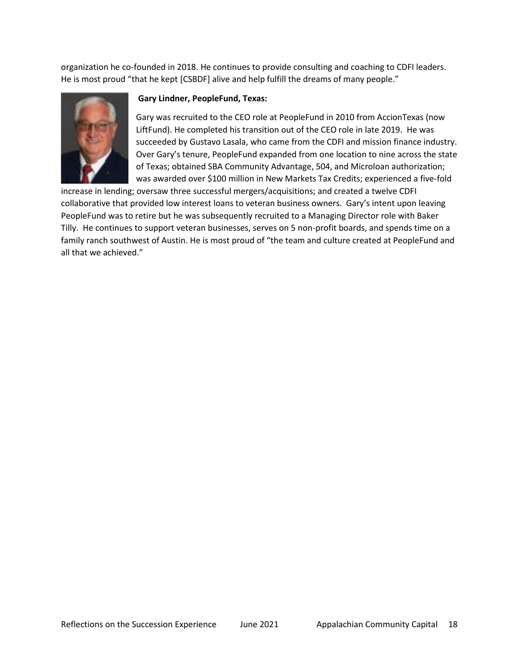organization he co-founded in 2018. He continues to provide consulting and coaching to CDFI leaders. He is most proud "that he kept [CSBDF] alive and help fulfill the dreams of many people."



### **Gary Lindner, PeopleFund, Texas:**

Gary was recruited to the CEO role at PeopleFund in 2010 from AccionTexas (now LiftFund). He completed his transition out of the CEO role in late 2019. He was succeeded by Gustavo Lasala, who came from the CDFI and mission finance industry. Over Gary's tenure, PeopleFund expanded from one location to nine across the state of Texas; obtained SBA Community Advantage, 504, and Microloan authorization; was awarded over \$100 million in New Markets Tax Credits; experienced a five-fold

increase in lending; oversaw three successful mergers/acquisitions; and created a twelve CDFI collaborative that provided low interest loans to veteran business owners. Gary's intent upon leaving PeopleFund was to retire but he was subsequently recruited to a Managing Director role with Baker Tilly. He continues to support veteran businesses, serves on 5 non-profit boards, and spends time on a family ranch southwest of Austin. He is most proud of "the team and culture created at PeopleFund and all that we achieved."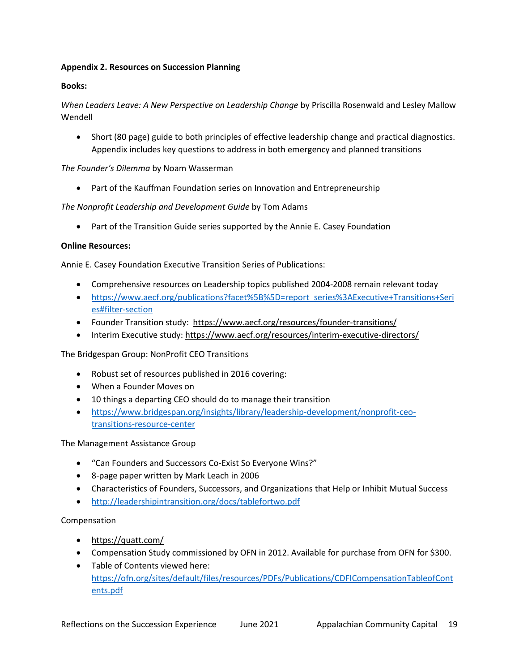### **Appendix 2. Resources on Succession Planning**

### **Books:**

*When Leaders Leave: A New Perspective on Leadership Change* by Priscilla Rosenwald and Lesley Mallow Wendell

• Short (80 page) guide to both principles of effective leadership change and practical diagnostics. Appendix includes key questions to address in both emergency and planned transitions

#### *The Founder's Dilemma* by Noam Wasserman

• Part of the Kauffman Foundation series on Innovation and Entrepreneurship

### *The Nonprofit Leadership and Development Guide* by Tom Adams

• Part of the Transition Guide series supported by the Annie E. Casey Foundation

#### **Online Resources:**

Annie E. Casey Foundation Executive Transition Series of Publications:

- Comprehensive resources on Leadership topics published 2004-2008 remain relevant today
- [https://www.aecf.org/publications?facet%5B%5D=report\\_series%3AExecutive+Transitions+Seri](https://www.aecf.org/publications?facet%5B%5D=report_series%3AExecutive+Transitions+Series#filter-section) [es#filter-section](https://www.aecf.org/publications?facet%5B%5D=report_series%3AExecutive+Transitions+Series#filter-section)
- Founder Transition study: <https://www.aecf.org/resources/founder-transitions/>
- Interim Executive study[: https://www.aecf.org/resources/interim-executive-directors/](https://www.aecf.org/resources/interim-executive-directors/)

The Bridgespan Group: NonProfit CEO Transitions

- Robust set of resources published in 2016 covering:
- When a Founder Moves on
- 10 things a departing CEO should do to manage their transition
- [https://www.bridgespan.org/insights/library/leadership-development/nonprofit-ceo](https://www.bridgespan.org/insights/library/leadership-development/nonprofit-ceo-transitions-resource-center)[transitions-resource-center](https://www.bridgespan.org/insights/library/leadership-development/nonprofit-ceo-transitions-resource-center)

#### The Management Assistance Group

- "Can Founders and Successors Co-Exist So Everyone Wins?"
- 8-page paper written by Mark Leach in 2006
- Characteristics of Founders, Successors, and Organizations that Help or Inhibit Mutual Success
- <http://leadershipintransition.org/docs/tablefortwo.pdf>

#### Compensation

- <https://quatt.com/>
- Compensation Study commissioned by OFN in 2012. Available for purchase from OFN for \$300.
- Table of Contents viewed here: [https://ofn.org/sites/default/files/resources/PDFs/Publications/CDFICompensationTableofCont](https://ofn.org/sites/default/files/resources/PDFs/Publications/CDFICompensationTableofContents.pdf) [ents.pdf](https://ofn.org/sites/default/files/resources/PDFs/Publications/CDFICompensationTableofContents.pdf)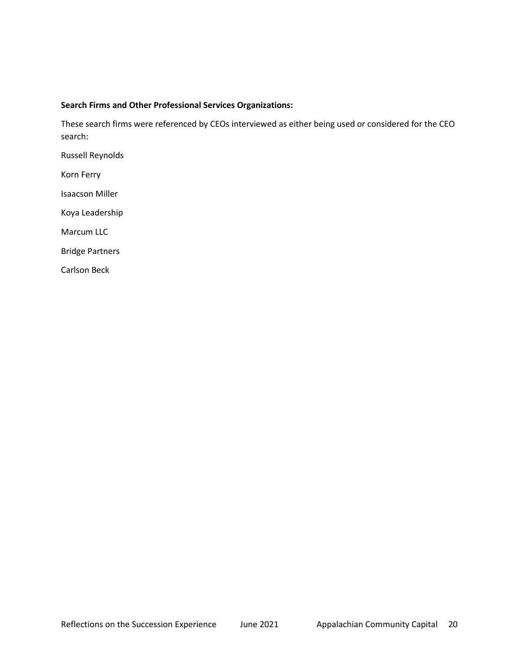#### **Search Firms and Other Professional Services Organizations:**

These search firms were referenced by CEOs interviewed as either being used or considered for the CEO search:

Russell Reynolds

Korn Ferry

Isaacson Miller

Koya Leadership

Marcum LLC

Bridge Partners

Carlson Beck